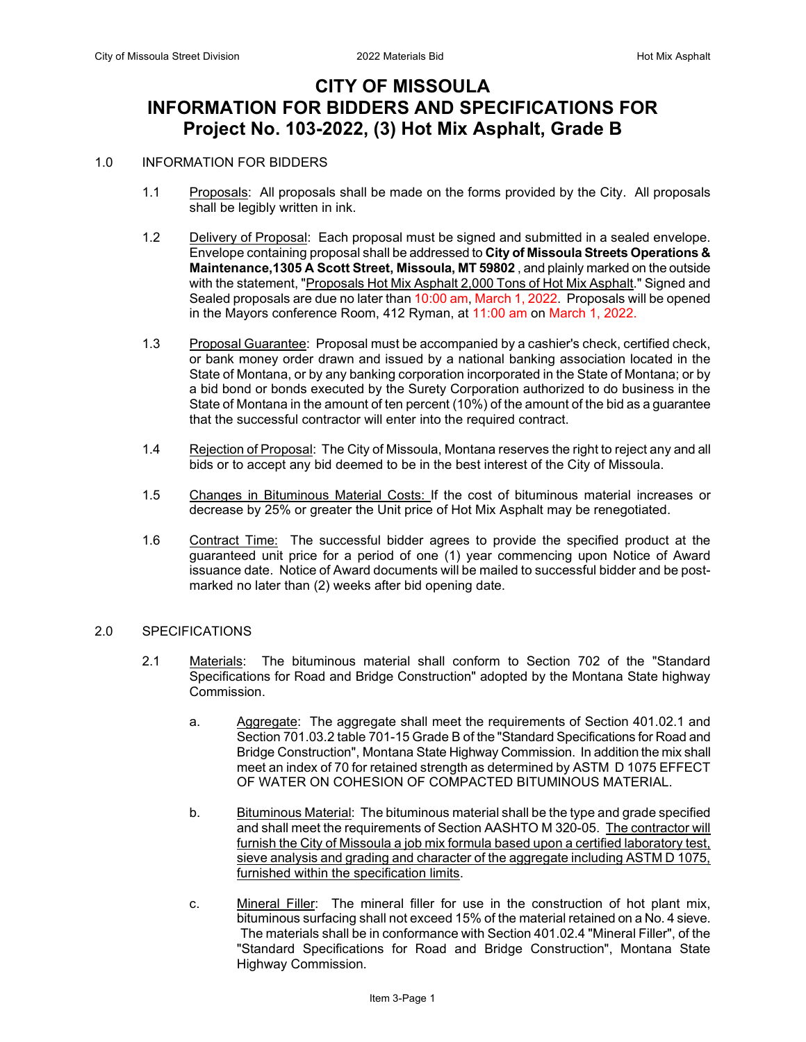# **CITY OF MISSOULA INFORMATION FOR BIDDERS AND SPECIFICATIONS FOR Project No. 103-2022, (3) Hot Mix Asphalt, Grade B**

#### 1.0 INFORMATION FOR BIDDERS

- 1.1 Proposals: All proposals shall be made on the forms provided by the City. All proposals shall be legibly written in ink.
- 1.2 Delivery of Proposal: Each proposal must be signed and submitted in a sealed envelope. Envelope containing proposal shall be addressed to **City of Missoula Streets Operations & Maintenance,1305 A Scott Street, Missoula, MT 59802** , and plainly marked on the outside with the statement, "Proposals Hot Mix Asphalt 2,000 Tons of Hot Mix Asphalt." Signed and Sealed proposals are due no later than 10:00 am, March 1, 2022. Proposals will be opened in the Mayors conference Room, 412 Ryman, at 11:00 am on March 1, 2022.
- 1.3 Proposal Guarantee: Proposal must be accompanied by a cashier's check, certified check, or bank money order drawn and issued by a national banking association located in the State of Montana, or by any banking corporation incorporated in the State of Montana; or by a bid bond or bonds executed by the Surety Corporation authorized to do business in the State of Montana in the amount of ten percent (10%) of the amount of the bid as a guarantee that the successful contractor will enter into the required contract.
- 1.4 Rejection of Proposal: The City of Missoula, Montana reserves the right to reject any and all bids or to accept any bid deemed to be in the best interest of the City of Missoula.
- 1.5 Changes in Bituminous Material Costs: If the cost of bituminous material increases or decrease by 25% or greater the Unit price of Hot Mix Asphalt may be renegotiated.
- 1.6 Contract Time: The successful bidder agrees to provide the specified product at the guaranteed unit price for a period of one (1) year commencing upon Notice of Award issuance date. Notice of Award documents will be mailed to successful bidder and be postmarked no later than (2) weeks after bid opening date.

#### 2.0 SPECIFICATIONS

- 2.1 Materials: The bituminous material shall conform to Section 702 of the "Standard Specifications for Road and Bridge Construction" adopted by the Montana State highway Commission.
	- a. Aggregate: The aggregate shall meet the requirements of Section 401.02.1 and Section 701.03.2 table 701-15 Grade B of the "Standard Specifications for Road and Bridge Construction", Montana State Highway Commission. In addition the mix shall meet an index of 70 for retained strength as determined by ASTM D 1075 EFFECT OF WATER ON COHESION OF COMPACTED BITUMINOUS MATERIAL.
	- b. Bituminous Material: The bituminous material shall be the type and grade specified and shall meet the requirements of Section AASHTO M 320-05. The contractor will furnish the City of Missoula a job mix formula based upon a certified laboratory test, sieve analysis and grading and character of the aggregate including ASTM D 1075, furnished within the specification limits.
	- c. Mineral Filler: The mineral filler for use in the construction of hot plant mix, bituminous surfacing shall not exceed 15% of the material retained on a No. 4 sieve. The materials shall be in conformance with Section 401.02.4 "Mineral Filler", of the "Standard Specifications for Road and Bridge Construction", Montana State Highway Commission.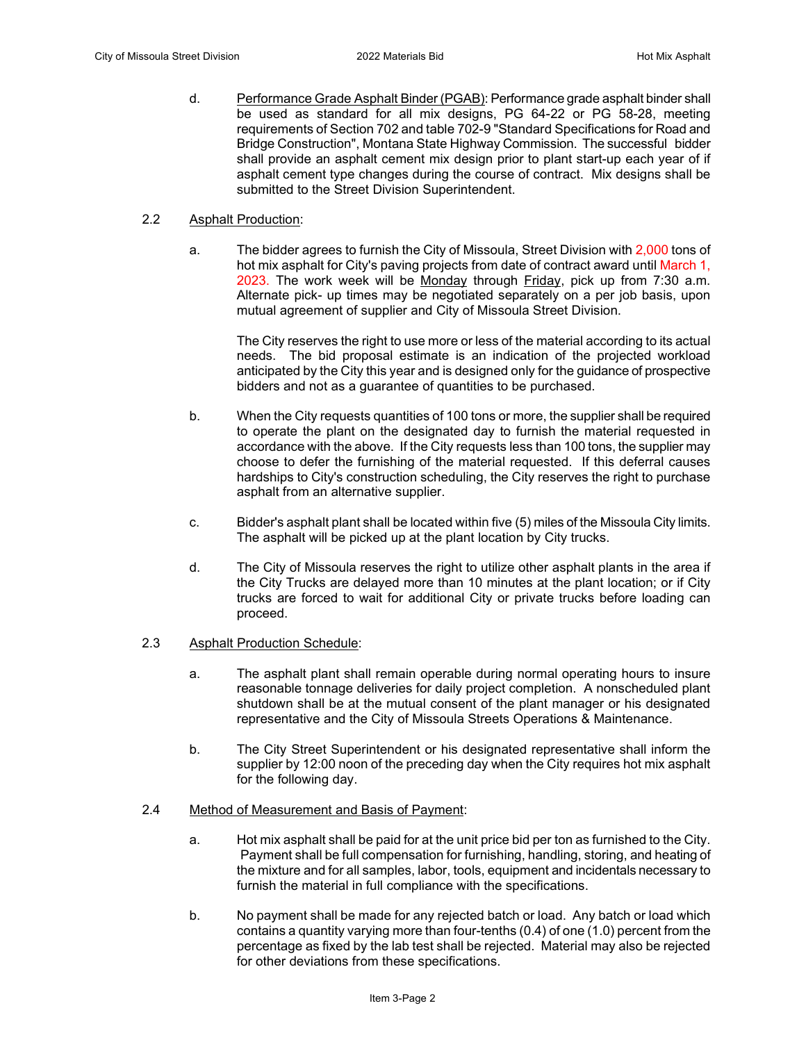d. Performance Grade Asphalt Binder (PGAB): Performance grade asphalt binder shall be used as standard for all mix designs, PG 64-22 or PG 58-28, meeting requirements of Section 702 and table 702-9 "Standard Specifications for Road and Bridge Construction", Montana State Highway Commission. The successful bidder shall provide an asphalt cement mix design prior to plant start-up each year of if asphalt cement type changes during the course of contract. Mix designs shall be submitted to the Street Division Superintendent.

#### 2.2 Asphalt Production:

a. The bidder agrees to furnish the City of Missoula, Street Division with 2,000 tons of hot mix asphalt for City's paving projects from date of contract award until March 1, 2023. The work week will be Monday through Friday, pick up from 7:30 a.m. Alternate pick- up times may be negotiated separately on a per job basis, upon mutual agreement of supplier and City of Missoula Street Division.

The City reserves the right to use more or less of the material according to its actual needs. The bid proposal estimate is an indication of the projected workload anticipated by the City this year and is designed only for the guidance of prospective bidders and not as a guarantee of quantities to be purchased.

- b. When the City requests quantities of 100 tons or more, the supplier shall be required to operate the plant on the designated day to furnish the material requested in accordance with the above. If the City requests less than 100 tons, the supplier may choose to defer the furnishing of the material requested. If this deferral causes hardships to City's construction scheduling, the City reserves the right to purchase asphalt from an alternative supplier.
- c. Bidder's asphalt plant shall be located within five (5) miles of the Missoula City limits. The asphalt will be picked up at the plant location by City trucks.
- d. The City of Missoula reserves the right to utilize other asphalt plants in the area if the City Trucks are delayed more than 10 minutes at the plant location; or if City trucks are forced to wait for additional City or private trucks before loading can proceed.

#### 2.3 Asphalt Production Schedule:

- a. The asphalt plant shall remain operable during normal operating hours to insure reasonable tonnage deliveries for daily project completion. A nonscheduled plant shutdown shall be at the mutual consent of the plant manager or his designated representative and the City of Missoula Streets Operations & Maintenance.
- b. The City Street Superintendent or his designated representative shall inform the supplier by 12:00 noon of the preceding day when the City requires hot mix asphalt for the following day.

#### 2.4 Method of Measurement and Basis of Payment:

- a. Hot mix asphalt shall be paid for at the unit price bid per ton as furnished to the City. Payment shall be full compensation for furnishing, handling, storing, and heating of the mixture and for all samples, labor, tools, equipment and incidentals necessary to furnish the material in full compliance with the specifications.
- b. No payment shall be made for any rejected batch or load. Any batch or load which contains a quantity varying more than four-tenths (0.4) of one (1.0) percent from the percentage as fixed by the lab test shall be rejected. Material may also be rejected for other deviations from these specifications.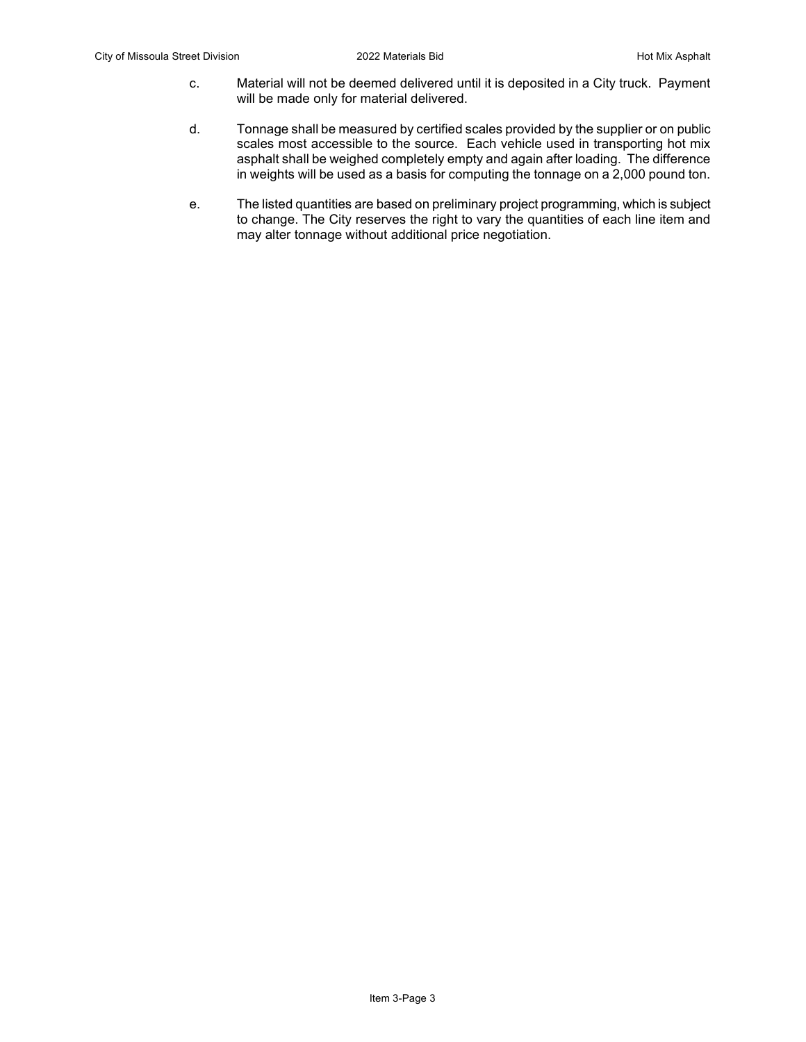- c. Material will not be deemed delivered until it is deposited in a City truck. Payment will be made only for material delivered.
- d. Tonnage shall be measured by certified scales provided by the supplier or on public scales most accessible to the source. Each vehicle used in transporting hot mix asphalt shall be weighed completely empty and again after loading. The difference in weights will be used as a basis for computing the tonnage on a 2,000 pound ton.
- e. The listed quantities are based on preliminary project programming, which is subject to change. The City reserves the right to vary the quantities of each line item and may alter tonnage without additional price negotiation.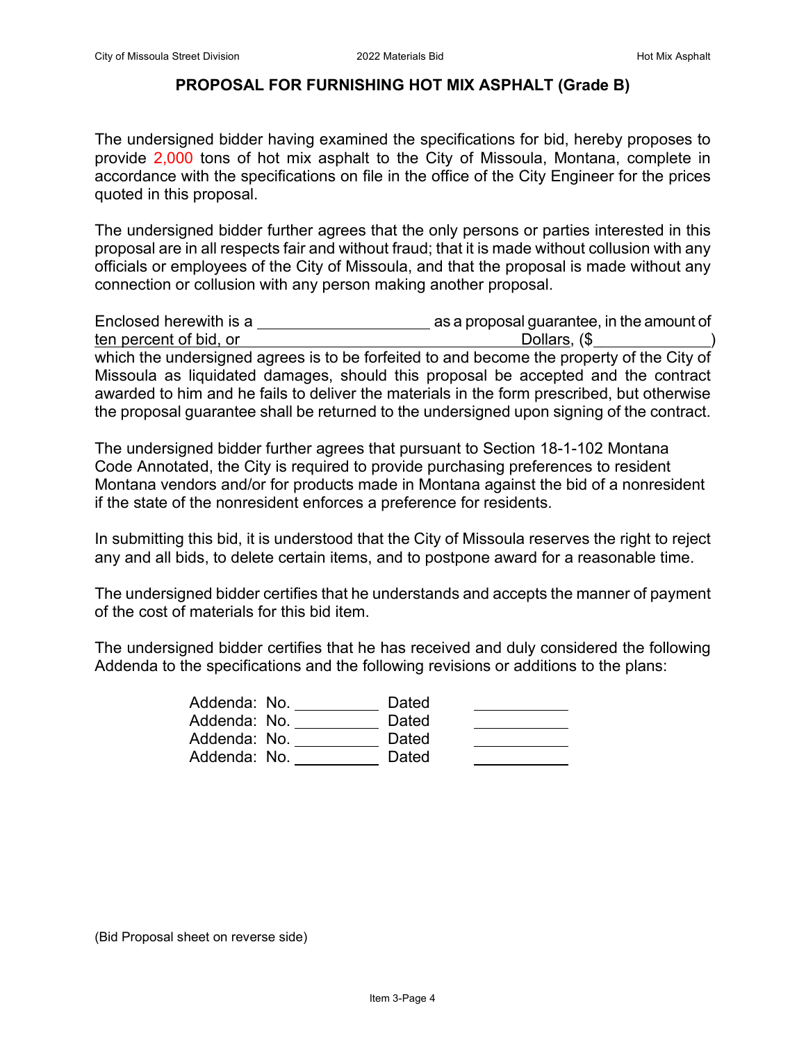### **PROPOSAL FOR FURNISHING HOT MIX ASPHALT (Grade B)**

The undersigned bidder having examined the specifications for bid, hereby proposes to provide 2,000 tons of hot mix asphalt to the City of Missoula, Montana, complete in accordance with the specifications on file in the office of the City Engineer for the prices quoted in this proposal.

The undersigned bidder further agrees that the only persons or parties interested in this proposal are in all respects fair and without fraud; that it is made without collusion with any officials or employees of the City of Missoula, and that the proposal is made without any connection or collusion with any person making another proposal.

Enclosed herewith is a as a proposal guarantee, in the amount of ten percent of bid, or Dollars, ( $\frac{1}{1}$  ) and  $\frac{1}{1}$  ( $\frac{1}{1}$  ) and  $\frac{1}{1}$  ( $\frac{1}{1}$  ) and  $\frac{1}{1}$  ( $\frac{1}{1}$  ) and  $\frac{1}{1}$  ( $\frac{1}{1}$  ) and  $\frac{1}{1}$  ( $\frac{1}{1}$  ) and  $\frac{1}{1}$  ( $\frac{1}{1}$  ) and  $\frac{1}{1}$  ( which the undersigned agrees is to be forfeited to and become the property of the City of Missoula as liquidated damages, should this proposal be accepted and the contract awarded to him and he fails to deliver the materials in the form prescribed, but otherwise the proposal guarantee shall be returned to the undersigned upon signing of the contract.

The undersigned bidder further agrees that pursuant to Section 18-1-102 Montana Code Annotated, the City is required to provide purchasing preferences to resident Montana vendors and/or for products made in Montana against the bid of a nonresident if the state of the nonresident enforces a preference for residents.

In submitting this bid, it is understood that the City of Missoula reserves the right to reject any and all bids, to delete certain items, and to postpone award for a reasonable time.

The undersigned bidder certifies that he understands and accepts the manner of payment of the cost of materials for this bid item.

The undersigned bidder certifies that he has received and duly considered the following Addenda to the specifications and the following revisions or additions to the plans:

| Addenda: No. | Dated |  |
|--------------|-------|--|
| Addenda: No. | Dated |  |
| Addenda: No. | Dated |  |
| Addenda: No. | Dated |  |

(Bid Proposal sheet on reverse side)